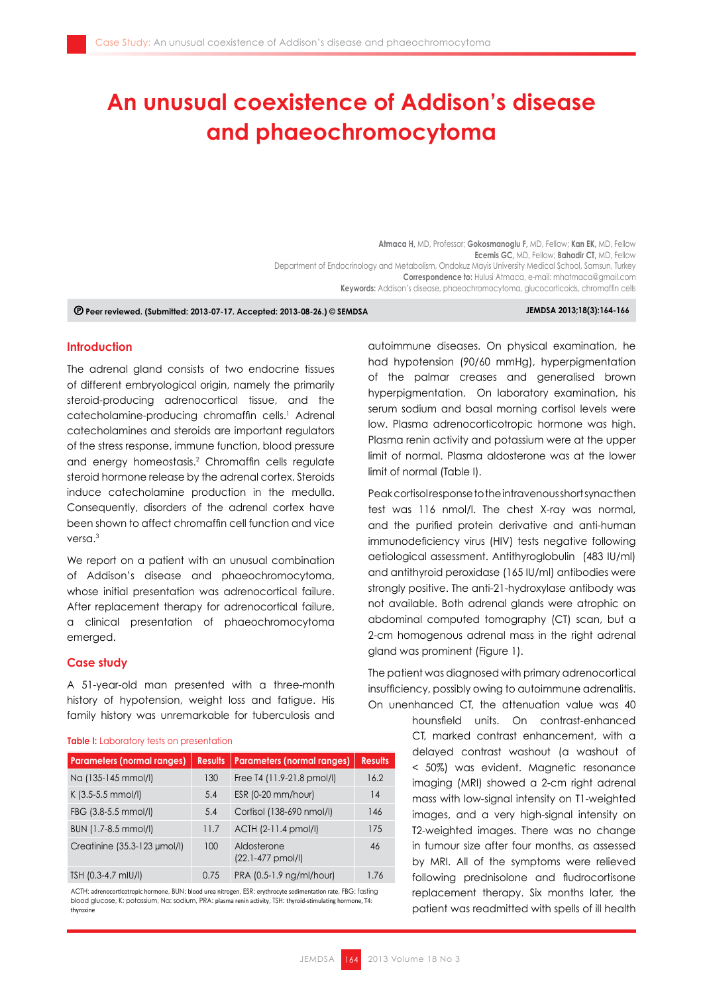# **An unusual coexistence of Addison's disease and phaeochromocytoma**

**Atmaca H,** MD, Professor; **Gokosmanoglu F,** MD, Fellow; **Kan EK,** MD, Fellow **Ecemis GC,** MD, Fellow; **Bahadir CT,** MD, Fellow Department of Endocrinology and Metabolism, Ondokuz Mayis University Medical School, Samsun, Turkey **Correspondence to:** Hulusi Atmaca, e-mail: mhatmaca@gmail.com **Keywords:** Addison's disease, phaeochromocytoma, glucocorticoids, chromaffin cells

 **Peer reviewed. (Submitted: 2013-07-17. Accepted: 2013-08-26.) © SEMDSA JEMDSA 2013;18(3):164-166**

### **Introduction**

The adrenal gland consists of two endocrine tissues of different embryological origin, namely the primarily steroid-producing adrenocortical tissue, and the catecholamine-producing chromaffin cells.<sup>1</sup> Adrenal catecholamines and steroids are important regulators of the stress response, immune function, blood pressure and energy homeostasis.<sup>2</sup> Chromaffin cells regulate steroid hormone release by the adrenal cortex. Steroids induce catecholamine production in the medulla. Consequently, disorders of the adrenal cortex have been shown to affect chromaffin cell function and vice versa.<sup>3</sup>

We report on a patient with an unusual combination of Addison's disease and phaeochromocytoma, whose initial presentation was adrenocortical failure. After replacement therapy for adrenocortical failure, a clinical presentation of phaeochromocytoma emerged.

# **Case study**

A 51-year-old man presented with a three-month history of hypotension, weight loss and fatigue. His family history was unremarkable for tuberculosis and

#### **Table I:** Laboratory tests on presentation

| <b>Parameters (normal ranges)</b> | <b>Results</b> | <b>Parameters (normal ranges)</b>            | <b>Results</b> |
|-----------------------------------|----------------|----------------------------------------------|----------------|
| Na (135-145 mmol/l)               | 130            | Free T4 (11.9-21.8 pmol/l)                   | 16.2           |
| K (3.5-5.5 mmol/l)                | 5.4            | ESR (0-20 mm/hour)                           | 14             |
| FBG (3.8-5.5 mmol/l)              | 5.4            | Cortisol (138-690 nmol/l)                    | 146            |
| BUN (1.7-8.5 mmol/l)              | 11.7           | ACTH (2-11.4 pmol/l)                         | 175            |
| Creatinine (35.3-123 µmol/l)      | 100            | Aldosterone<br>$(22.1 - 477 \text{ pmol/l})$ | 46             |
| TSH (0.3-4.7 mIU/I)               | 0.75           | PRA (0.5-1.9 ng/ml/hour)                     | 1.76           |

ACTH: adrenocorticotropic hormone, BUN: blood urea nitrogen, ESR: erythrocyte sedimentation rate, FBG: fasting blood glucose, K: potassium, Na: sodium, PRA: plasma renin activity, TSH: thyroid-stimulating hormone, T4: thyroxine

autoimmune diseases. On physical examination, he had hypotension (90/60 mmHg), hyperpigmentation of the palmar creases and generalised brown hyperpigmentation. On laboratory examination, his serum sodium and basal morning cortisol levels were low. Plasma adrenocorticotropic hormone was high. Plasma renin activity and potassium were at the upper limit of normal. Plasma aldosterone was at the lower limit of normal (Table I).

Peak cortisol response to the intravenous short synacthen test was 116 nmol/l. The chest X-ray was normal, and the purified protein derivative and anti-human immunodeficiency virus (HIV) tests negative following aetiological assessment. Antithyroglobulin (483 IU/ml) and antithyroid peroxidase (165 IU/ml) antibodies were strongly positive. The anti-21-hydroxylase antibody was not available. Both adrenal glands were atrophic on abdominal computed tomography (CT) scan, but a 2-cm homogenous adrenal mass in the right adrenal gland was prominent (Figure 1).

The patient was diagnosed with primary adrenocortical insufficiency, possibly owing to autoimmune adrenalitis. On unenhanced CT, the attenuation value was 40

> hounsfield units. On contrast-enhanced CT, marked contrast enhancement, with a delayed contrast washout (a washout of < 50%) was evident. Magnetic resonance imaging (MRI) showed a 2-cm right adrenal mass with low-signal intensity on T1-weighted images, and a very high-signal intensity on T2-weighted images. There was no change in tumour size after four months, as assessed by MRI. All of the symptoms were relieved following prednisolone and fludrocortisone replacement therapy. Six months later, the patient was readmitted with spells of ill health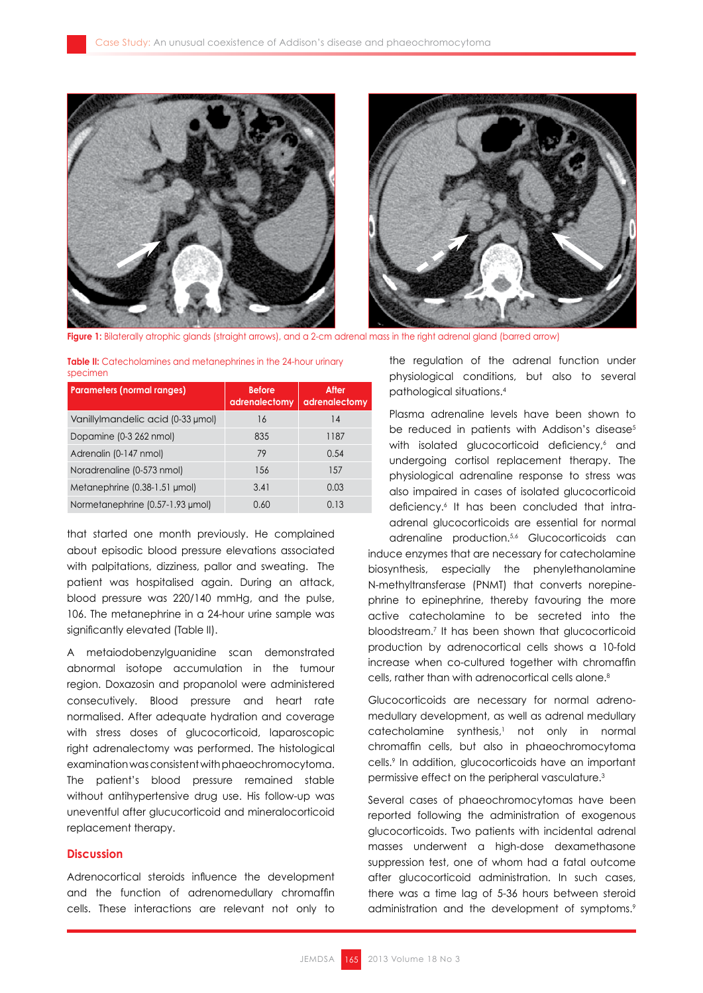

**Figure 1:** Bilaterally atrophic glands (straight arrows), and a 2-cm adrenal mass in the right adrenal gland (barred arrow)

**Table II:** Catecholamines and metanephrines in the 24-hour urinary specimen

| <b>Parameters (normal ranges)</b>  | <b>Before</b><br>adrenalectomy | After<br>adrenalectomy |
|------------------------------------|--------------------------------|------------------------|
| Vanilly Imandelic acid (0-33 µmol) | 16                             | 14                     |
| Dopamine (0-3 262 nmol)            | 835                            | 1187                   |
| Adrenalin (0-147 nmol)             | 79                             | 0.54                   |
| Noradrenaline (0-573 nmol)         | 156                            | 157                    |
| Metanephrine (0.38-1.51 µmol)      | 3.41                           | 0.03                   |
| Normetanephrine (0.57-1.93 µmol)   | 0.60                           | 0.13                   |

that started one month previously. He complained about episodic blood pressure elevations associated with palpitations, dizziness, pallor and sweating. The patient was hospitalised again. During an attack, blood pressure was 220/140 mmHg, and the pulse, 106. The metanephrine in a 24-hour urine sample was significantly elevated (Table II).

A metaiodobenzylguanidine scan demonstrated abnormal isotope accumulation in the tumour region. Doxazosin and propanolol were administered consecutively. Blood pressure and heart rate normalised. After adequate hydration and coverage with stress doses of glucocorticoid, laparoscopic right adrenalectomy was performed. The histological examination was consistent with phaeochromocytoma. The patient's blood pressure remained stable without antihypertensive drug use. His follow-up was uneventful after glucucorticoid and mineralocorticoid replacement therapy.

## **Discussion**

Adrenocortical steroids influence the development and the function of adrenomedullary chromaffin cells. These interactions are relevant not only to

the regulation of the adrenal function under physiological conditions, but also to several pathological situations.<sup>4</sup>

Plasma adrenaline levels have been shown to be reduced in patients with Addison's disease<sup>5</sup> with isolated glucocorticoid deficiency,<sup>6</sup> and undergoing cortisol replacement therapy. The physiological adrenaline response to stress was also impaired in cases of isolated glucocorticoid deficiency.<sup>6</sup> It has been concluded that intraadrenal glucocorticoids are essential for normal

adrenaline production.<sup>5,6</sup> Glucocorticoids can induce enzymes that are necessary for catecholamine biosynthesis, especially the phenylethanolamine N-methyltransferase (PNMT) that converts norepinephrine to epinephrine, thereby favouring the more active catecholamine to be secreted into the bloodstream.7 It has been shown that glucocorticoid production by adrenocortical cells shows a 10-fold increase when co-cultured together with chromaffin cells, rather than with adrenocortical cells alone.<sup>8</sup>

Glucocorticoids are necessary for normal adrenomedullary development, as well as adrenal medullary catecholamine synthesis,<sup>1</sup> not only in normal chromaffin cells, but also in phaeochromocytoma cells.<sup>9</sup> In addition, glucocorticoids have an important permissive effect on the peripheral vasculature.<sup>3</sup>

Several cases of phaeochromocytomas have been reported following the administration of exogenous glucocorticoids. Two patients with incidental adrenal masses underwent a high-dose dexamethasone suppression test, one of whom had a fatal outcome after glucocorticoid administration. In such cases, there was a time lag of 5-36 hours between steroid administration and the development of symptoms.<sup>9</sup>